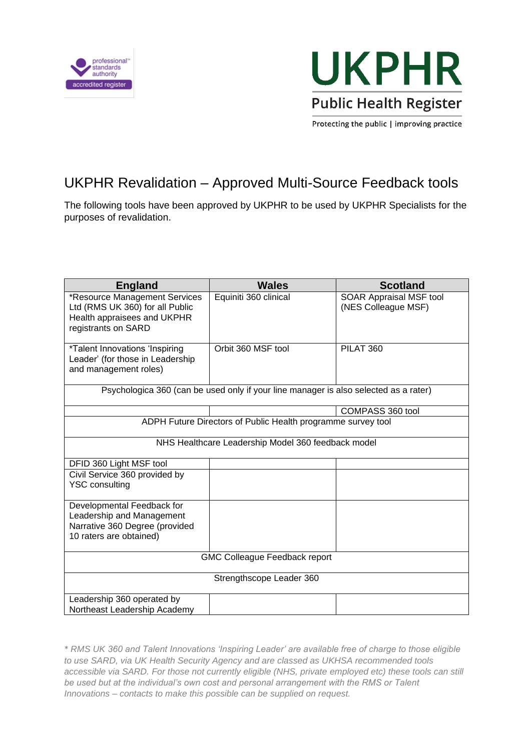



Protecting the public | improving practice

## UKPHR Revalidation – Approved Multi-Source Feedback tools

The following tools have been approved by UKPHR to be used by UKPHR Specialists for the purposes of revalidation.

| <b>England</b>                                                                                                         | <b>Wales</b>          | <b>Scotland</b>                                |  |
|------------------------------------------------------------------------------------------------------------------------|-----------------------|------------------------------------------------|--|
| *Resource Management Services<br>Ltd (RMS UK 360) for all Public<br>Health appraisees and UKPHR<br>registrants on SARD | Equiniti 360 clinical | SOAR Appraisal MSF tool<br>(NES Colleague MSF) |  |
| *Talent Innovations 'Inspiring<br>Leader' (for those in Leadership<br>and management roles)                            | Orbit 360 MSF tool    | PILAT 360                                      |  |
| Psychologica 360 (can be used only if your line manager is also selected as a rater)                                   |                       |                                                |  |
|                                                                                                                        |                       | COMPASS 360 tool                               |  |
| ADPH Future Directors of Public Health programme survey tool                                                           |                       |                                                |  |
| NHS Healthcare Leadership Model 360 feedback model                                                                     |                       |                                                |  |
| DFID 360 Light MSF tool                                                                                                |                       |                                                |  |
| Civil Service 360 provided by<br><b>YSC consulting</b>                                                                 |                       |                                                |  |
| Developmental Feedback for<br>Leadership and Management<br>Narrative 360 Degree (provided<br>10 raters are obtained)   |                       |                                                |  |
| <b>GMC Colleague Feedback report</b>                                                                                   |                       |                                                |  |
| Strengthscope Leader 360                                                                                               |                       |                                                |  |
| Leadership 360 operated by<br>Northeast Leadership Academy                                                             |                       |                                                |  |

\* *RMS UK 360 and Talent Innovations 'Inspiring Leader' are available free of charge to those eligible to use SARD, via UK Health Security Agency and are classed as UKHSA recommended tools accessible via SARD. For those not currently eligible (NHS, private employed etc) these tools can still be used but at the individual's own cost and personal arrangement with the RMS or Talent Innovations – contacts to make this possible can be supplied on request.*